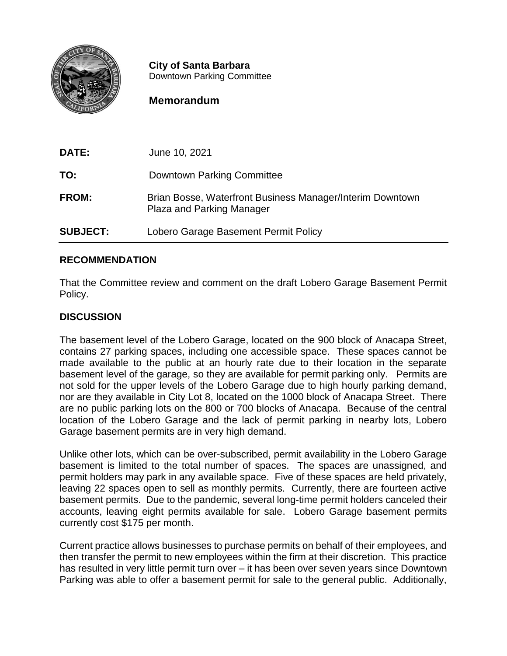

**City of Santa Barbara** Downtown Parking Committee

## **Memorandum**

**DATE:** June 10, 2021 **TO:** Downtown Parking Committee **FROM:** Brian Bosse, Waterfront Business Manager/Interim Downtown Plaza and Parking Manager **SUBJECT:** Lobero Garage Basement Permit Policy

## **RECOMMENDATION**

That the Committee review and comment on the draft Lobero Garage Basement Permit Policy.

## **DISCUSSION**

The basement level of the Lobero Garage, located on the 900 block of Anacapa Street, contains 27 parking spaces, including one accessible space. These spaces cannot be made available to the public at an hourly rate due to their location in the separate basement level of the garage, so they are available for permit parking only. Permits are not sold for the upper levels of the Lobero Garage due to high hourly parking demand, nor are they available in City Lot 8, located on the 1000 block of Anacapa Street. There are no public parking lots on the 800 or 700 blocks of Anacapa. Because of the central location of the Lobero Garage and the lack of permit parking in nearby lots, Lobero Garage basement permits are in very high demand.

Unlike other lots, which can be over-subscribed, permit availability in the Lobero Garage basement is limited to the total number of spaces. The spaces are unassigned, and permit holders may park in any available space. Five of these spaces are held privately, leaving 22 spaces open to sell as monthly permits. Currently, there are fourteen active basement permits. Due to the pandemic, several long-time permit holders canceled their accounts, leaving eight permits available for sale. Lobero Garage basement permits currently cost \$175 per month.

Current practice allows businesses to purchase permits on behalf of their employees, and then transfer the permit to new employees within the firm at their discretion. This practice has resulted in very little permit turn over – it has been over seven years since Downtown Parking was able to offer a basement permit for sale to the general public. Additionally,